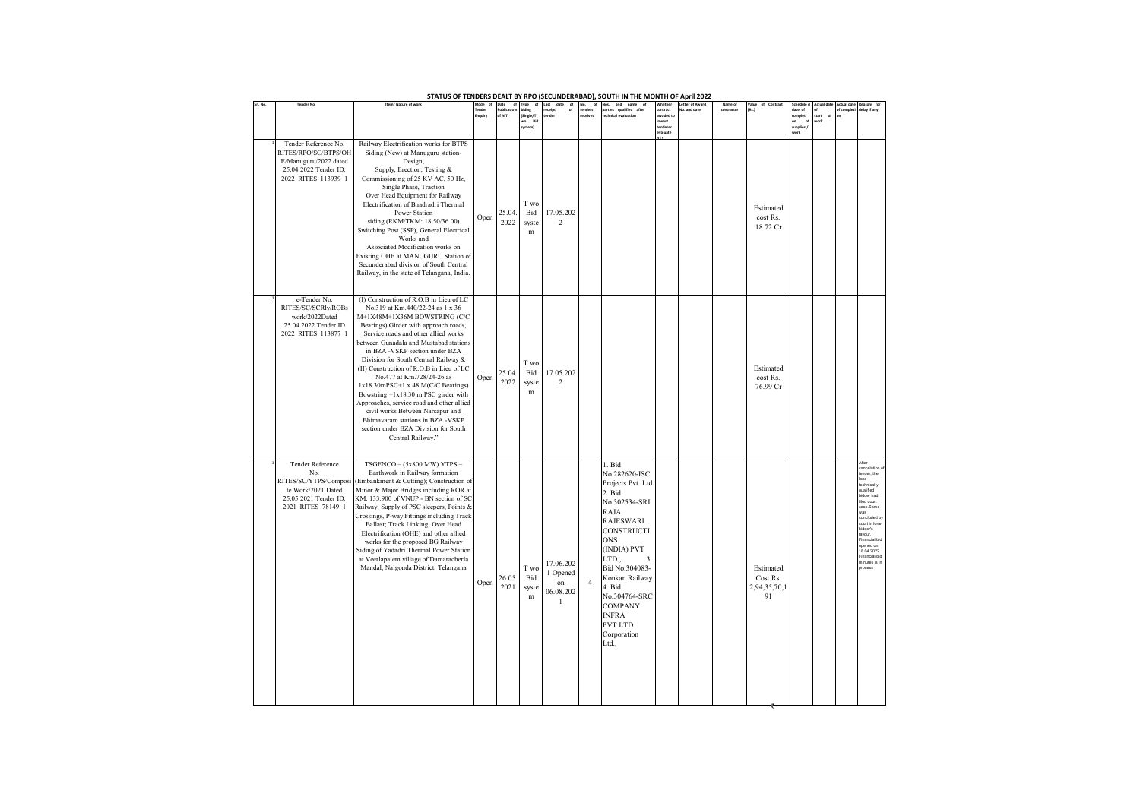| STATUS OF TENDERS DEALT BY RPO (SECUNDERABAD), SOUTH IN THE MONTH OF April 2022<br><b>Actual</b> date<br><b>Tender No</b><br>Item/ Nature of worl<br>and<br>Vhethe<br>Name of |                                                                                                                                                                                                                                                                                                                                                                                                                                                                                                                                                                                                                                                             |        |                            |                                      |                                               |                |                                                                                                                                                                                                                                                                                                   |                                                   |                                |            |                                             |                                                                 |              |           |                                                                                                                                                                                                                          |
|-------------------------------------------------------------------------------------------------------------------------------------------------------------------------------|-------------------------------------------------------------------------------------------------------------------------------------------------------------------------------------------------------------------------------------------------------------------------------------------------------------------------------------------------------------------------------------------------------------------------------------------------------------------------------------------------------------------------------------------------------------------------------------------------------------------------------------------------------------|--------|----------------------------|--------------------------------------|-----------------------------------------------|----------------|---------------------------------------------------------------------------------------------------------------------------------------------------------------------------------------------------------------------------------------------------------------------------------------------------|---------------------------------------------------|--------------------------------|------------|---------------------------------------------|-----------------------------------------------------------------|--------------|-----------|--------------------------------------------------------------------------------------------------------------------------------------------------------------------------------------------------------------------------|
|                                                                                                                                                                               |                                                                                                                                                                                                                                                                                                                                                                                                                                                                                                                                                                                                                                                             | tauiry | ate<br>ublicatio<br>of NIT | (Single/T<br>wo<br>Bio<br>system)    | nder                                          |                | ualified after                                                                                                                                                                                                                                                                                    | ontract<br>waded t<br>west<br>enderes<br>evaluate | etter of Aware<br>io, and date | contractor | (Rs.)                                       | date of<br>completi<br><sub>of</sub><br>on<br>upplies /<br>vork | tart.<br>ork | f complet | elay if any                                                                                                                                                                                                              |
| Tender Reference No.<br>RITES/RPO/SC/BTPS/OH<br>E/Manuguru/2022 dated<br>25.04.2022 Tender ID.<br>2022 RITES 113939 1                                                         | Railway Electrification works for BTPS<br>Siding (New) at Manuguru station-<br>Design,<br>Supply, Erection, Testing &<br>Commissioning of 25 KV AC, 50 Hz,<br>Single Phase, Traction<br>Over Head Equipment for Railway<br>Electrification of Bhadradri Thermal<br>Power Station<br>siding (RKM/TKM: 18.50/36.00)<br>Switching Post (SSP), General Electrical<br>Works and<br>Associated Modification works on<br>Existing OHE at MANUGURU Station of<br>Secunderabad division of South Central<br>Railway, in the state of Telangana, India.                                                                                                               | Open   | 25.04<br>2022              | T wo<br>Bid<br>syste<br>$\, {\rm m}$ | 17.05.202<br>$\overline{2}$                   |                |                                                                                                                                                                                                                                                                                                   |                                                   |                                |            | Estimated<br>cost Rs.<br>18.72 Cr           |                                                                 |              |           |                                                                                                                                                                                                                          |
| e-Tender No:<br>RITES/SC/SCRIy/ROBs<br>work/2022Dated<br>25.04.2022 Tender ID<br>2022_RITES_113877_1                                                                          | (I) Construction of R.O.B in Lieu of LC<br>No.319 at Km.440/22-24 as 1 x 36<br>M+1X48M+1X36M BOWSTRING (C/C<br>Bearings) Girder with approach roads,<br>Service roads and other allied works<br>between Gunadala and Mustabad stations<br>in BZA -VSKP section under BZA<br>Division for South Central Railway &<br>(II) Construction of R.O.B in Lieu of LC<br>No.477 at Km.728/24-26 as<br>$1x18.30mPSC+1 x 48 M(C/C Bearings)$<br>Bowstring +1x18.30 m PSC girder with<br>Approaches, service road and other allied<br>civil works Between Narsapur and<br>Bhimavaram stations in BZA -VSKP<br>section under BZA Division for South<br>Central Railway." | Open   | 25.04<br>2022              | T wo<br>Bid<br>syste<br>m            | 17.05.202<br>2                                |                |                                                                                                                                                                                                                                                                                                   |                                                   |                                |            | Estimated<br>cost Rs.<br>76.99 Cr           |                                                                 |              |           |                                                                                                                                                                                                                          |
| Tender Reference<br>No.<br>te Work/2021 Dated<br>25.05.2021 Tender ID.<br>2021 RITES 78149 1                                                                                  | $TSGENCO - (5x800 MW) YTPS -$<br>Earthwork in Railway formation<br>RITES/SC/YTPS/Composi (Embankment & Cutting); Construction of<br>Minor & Major Bridges including ROR at<br>KM. 133.900 of VNUP - BN section of SC<br>Railway; Supply of PSC sleepers, Points &<br>Crossings, P-way Fittings including Track<br>Ballast; Track Linking; Over Head<br>Electrification (OHE) and other allied<br>works for the proposed BG Railway<br>Siding of Yadadri Thermal Power Station<br>at Veerlapalem village of Damaracherla<br>Mandal, Nalgonda District, Telangana                                                                                             | Open   | 26.05<br>2021              | T wo<br>Bid<br>syste<br>$\mathbf m$  | 17.06.202<br>1 Opened<br>on<br>06.08.202<br>1 | $\overline{4}$ | 1. Bid<br>No.282620-ISC<br>Projects Pvt. Ltd<br>2. Bid<br>No.302534-SRI<br>RAJA<br><b>RAJESWARI</b><br>CONSTRUCTI<br><b>ONS</b><br>(INDIA) PVT<br>LTD.,<br>3.<br>Bid No.304083-<br>Konkan Railway<br>4. Bid<br>No.304764-SRC<br>COMPANY<br><b>INFRA</b><br><b>PVT LTD</b><br>Corporation<br>Ltd., |                                                   |                                |            | Estimated<br>Cost Rs.<br>2,94,35,70,1<br>91 |                                                                 |              |           | fier<br>nder, the<br>ne<br>chnically<br>ualified<br>idder had<br>led court<br>ase Same<br>vas<br>oncluded by<br>ourt in lone<br>idder's<br>wour<br>inancial bid<br>pened on<br>8.04.2022<br>inancial bid<br>inutes is in |